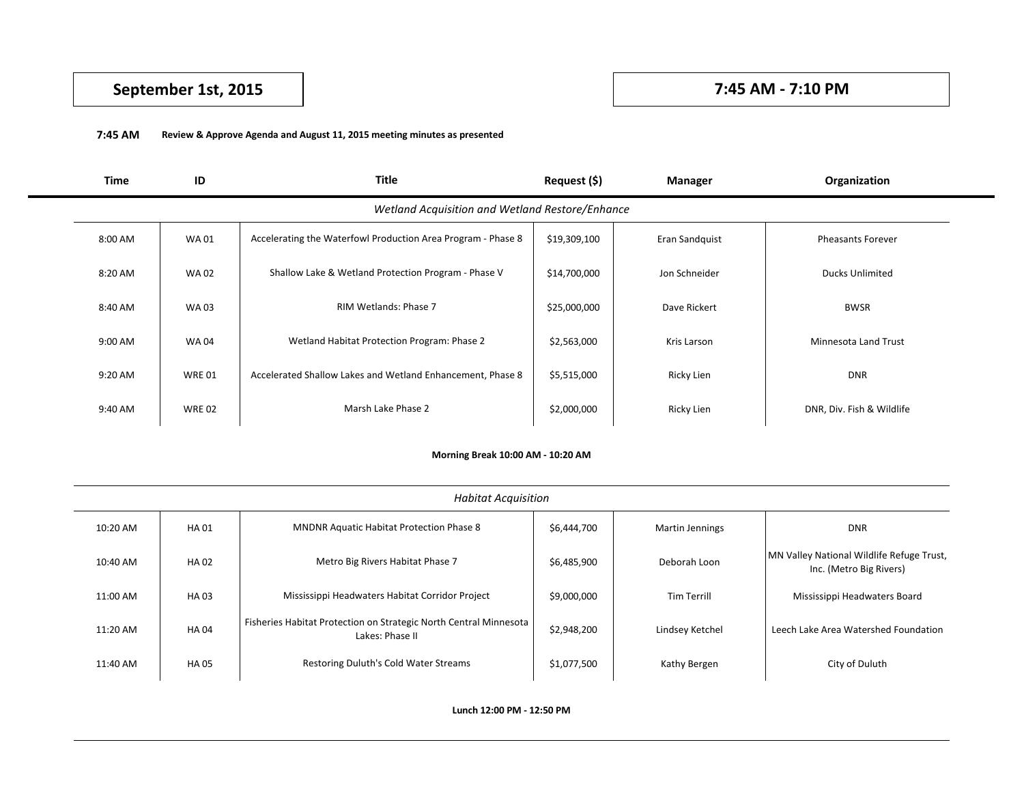# **September 1st, 2015 7:45 AM - 7:10 PM**

## **7:45 AM Review & Approve Agenda and August 11, 2015 meeting minutes as presented**

| Time                                            | ID           | Title                                                        | Request (\$) | <b>Manager</b> | Organization              |  |  |
|-------------------------------------------------|--------------|--------------------------------------------------------------|--------------|----------------|---------------------------|--|--|
| Wetland Acquisition and Wetland Restore/Enhance |              |                                                              |              |                |                           |  |  |
| 8:00 AM                                         | <b>WA01</b>  | Accelerating the Waterfowl Production Area Program - Phase 8 | \$19,309,100 | Eran Sandquist | <b>Pheasants Forever</b>  |  |  |
| 8:20 AM                                         | <b>WA02</b>  | Shallow Lake & Wetland Protection Program - Phase V          | \$14,700,000 | Jon Schneider  | <b>Ducks Unlimited</b>    |  |  |
| 8:40 AM                                         | <b>WA03</b>  | RIM Wetlands: Phase 7                                        | \$25,000,000 | Dave Rickert   | <b>BWSR</b>               |  |  |
| 9:00 AM                                         | <b>WA04</b>  | Wetland Habitat Protection Program: Phase 2                  | \$2,563,000  | Kris Larson    | Minnesota Land Trust      |  |  |
| 9:20 AM                                         | WRE 01       | Accelerated Shallow Lakes and Wetland Enhancement, Phase 8   | \$5,515,000  | Ricky Lien     | <b>DNR</b>                |  |  |
| 9:40 AM                                         | <b>WRE02</b> | Marsh Lake Phase 2                                           | \$2,000,000  | Ricky Lien     | DNR, Div. Fish & Wildlife |  |  |

### **Morning Break 10:00 AM - 10:20 AM**

| <b>Habitat Acquisition</b> |             |                                                                                      |             |                        |                                                                      |  |
|----------------------------|-------------|--------------------------------------------------------------------------------------|-------------|------------------------|----------------------------------------------------------------------|--|
| 10:20 AM                   | <b>HA01</b> | <b>MNDNR Aquatic Habitat Protection Phase 8</b>                                      | \$6,444,700 | <b>Martin Jennings</b> | <b>DNR</b>                                                           |  |
| 10:40 AM                   | <b>HA02</b> | Metro Big Rivers Habitat Phase 7                                                     | \$6,485,900 | Deborah Loon           | MN Valley National Wildlife Refuge Trust,<br>Inc. (Metro Big Rivers) |  |
| 11:00 AM                   | HA 03       | Mississippi Headwaters Habitat Corridor Project                                      | \$9,000,000 | <b>Tim Terrill</b>     | Mississippi Headwaters Board                                         |  |
| 11:20 AM                   | <b>HA04</b> | Fisheries Habitat Protection on Strategic North Central Minnesota<br>Lakes: Phase II | \$2,948,200 | Lindsey Ketchel        | Leech Lake Area Watershed Foundation                                 |  |
| 11:40 AM                   | <b>HA05</b> | Restoring Duluth's Cold Water Streams                                                | \$1,077,500 | Kathy Bergen           | City of Duluth                                                       |  |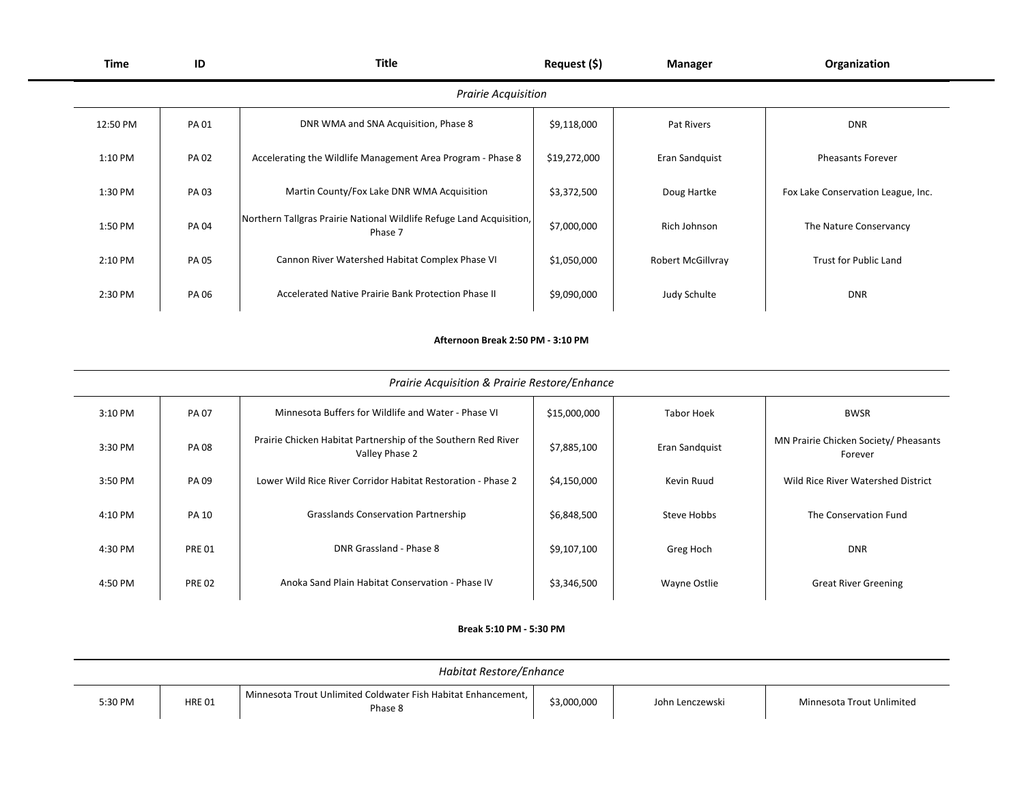| Time                       | ID          | <b>Title</b>                                                                    | Request (\$) | Manager           | Organization                       |  |  |
|----------------------------|-------------|---------------------------------------------------------------------------------|--------------|-------------------|------------------------------------|--|--|
| <b>Prairie Acquisition</b> |             |                                                                                 |              |                   |                                    |  |  |
| 12:50 PM                   | <b>PA01</b> | DNR WMA and SNA Acquisition, Phase 8                                            | \$9,118,000  | Pat Rivers        | <b>DNR</b>                         |  |  |
| 1:10 PM                    | <b>PA02</b> | Accelerating the Wildlife Management Area Program - Phase 8                     | \$19,272,000 | Eran Sandquist    | <b>Pheasants Forever</b>           |  |  |
| 1:30 PM                    | PA 03       | Martin County/Fox Lake DNR WMA Acquisition                                      | \$3,372,500  | Doug Hartke       | Fox Lake Conservation League, Inc. |  |  |
| 1:50 PM                    | PA 04       | Northern Tallgras Prairie National Wildlife Refuge Land Acquisition,<br>Phase 7 | \$7,000,000  | Rich Johnson      | The Nature Conservancy             |  |  |
| 2:10 PM                    | <b>PA05</b> | Cannon River Watershed Habitat Complex Phase VI                                 | \$1,050,000  | Robert McGillvray | <b>Trust for Public Land</b>       |  |  |
| 2:30 PM                    | PA 06       | Accelerated Native Prairie Bank Protection Phase II                             | \$9,090,000  | Judy Schulte      | <b>DNR</b>                         |  |  |

#### **Afternoon Break 2:50 PM - 3:10 PM**

| Prairie Acquisition & Prairie Restore/Enhance |               |                                                                                 |              |                   |                                                  |  |
|-----------------------------------------------|---------------|---------------------------------------------------------------------------------|--------------|-------------------|--------------------------------------------------|--|
| 3:10 PM                                       | <b>PA07</b>   | Minnesota Buffers for Wildlife and Water - Phase VI                             | \$15,000,000 | <b>Tabor Hoek</b> | <b>BWSR</b>                                      |  |
| 3:30 PM                                       | <b>PA08</b>   | Prairie Chicken Habitat Partnership of the Southern Red River<br>Valley Phase 2 | \$7,885,100  | Eran Sandquist    | MN Prairie Chicken Society/ Pheasants<br>Forever |  |
| 3:50 PM                                       | PA 09         | Lower Wild Rice River Corridor Habitat Restoration - Phase 2                    | \$4,150,000  | Kevin Ruud        | Wild Rice River Watershed District               |  |
| 4:10 PM                                       | <b>PA 10</b>  | <b>Grasslands Conservation Partnership</b>                                      | \$6,848,500  | Steve Hobbs       | The Conservation Fund                            |  |
| 4:30 PM                                       | <b>PRE 01</b> | DNR Grassland - Phase 8                                                         | \$9,107,100  | Greg Hoch         | <b>DNR</b>                                       |  |
| 4:50 PM                                       | <b>PRE 02</b> | Anoka Sand Plain Habitat Conservation - Phase IV                                | \$3,346,500  | Wayne Ostlie      | <b>Great River Greening</b>                      |  |

### **Break 5:10 PM - 5:30 PM**

| Habitat Restore/Enhance |               |                                                                          |             |                 |                           |
|-------------------------|---------------|--------------------------------------------------------------------------|-------------|-----------------|---------------------------|
| 5:30 PM                 | <b>HRE 01</b> | Minnesota Trout Unlimited Coldwater Fish Habitat Enhancement,<br>Phase 8 | \$3,000,000 | John Lenczewski | Minnesota Trout Unlimited |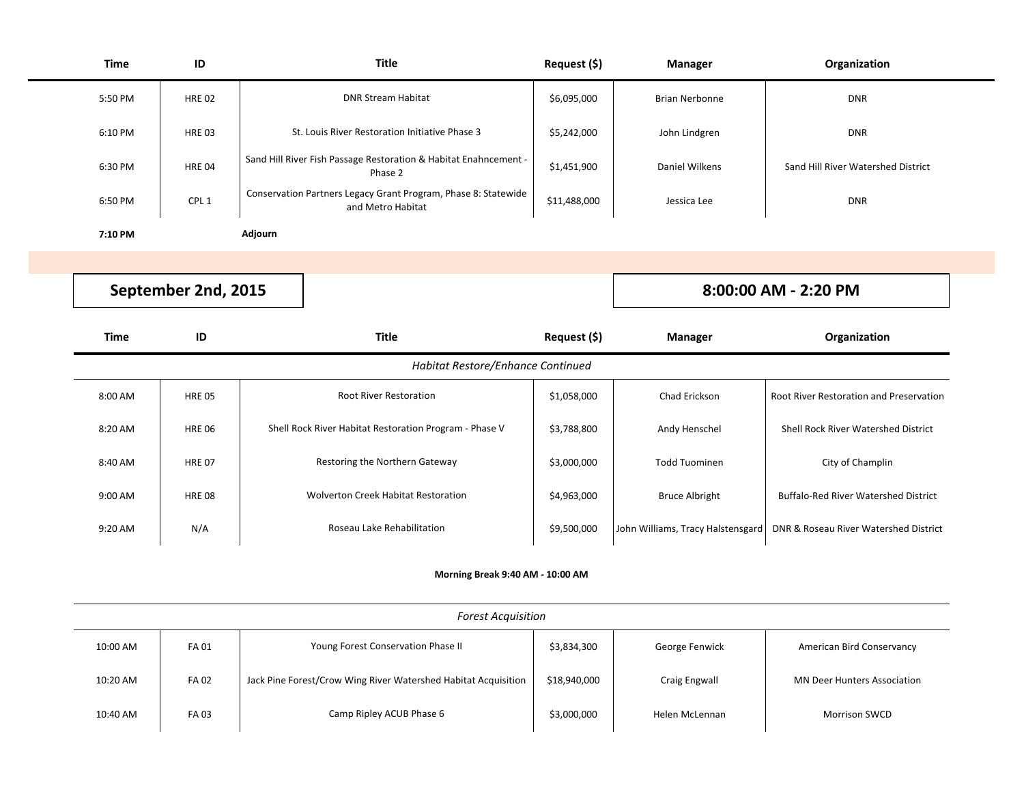| <b>Time</b> | ID               | <b>Title</b>                                                                        | Request (\$) | <b>Manager</b>        | Organization                       |
|-------------|------------------|-------------------------------------------------------------------------------------|--------------|-----------------------|------------------------------------|
| 5:50 PM     | <b>HRE 02</b>    | <b>DNR Stream Habitat</b>                                                           | \$6,095,000  | <b>Brian Nerbonne</b> | <b>DNR</b>                         |
| 6:10 PM     | <b>HRE 03</b>    | St. Louis River Restoration Initiative Phase 3                                      | \$5,242,000  | John Lindgren         | <b>DNR</b>                         |
| 6:30 PM     | <b>HRE 04</b>    | Sand Hill River Fish Passage Restoration & Habitat Enahncement -<br>Phase 2         | \$1,451,900  | Daniel Wilkens        | Sand Hill River Watershed District |
| 6:50 PM     | CPL <sub>1</sub> | Conservation Partners Legacy Grant Program, Phase 8: Statewide<br>and Metro Habitat | \$11,488,000 | Jessica Lee           | <b>DNR</b>                         |
| 7:10 PM     |                  | Adjourn                                                                             |              |                       |                                    |

**September 2nd, 2015**

**8:00:00 AM - 2:20 PM**

| Time                              | ID            | <b>Title</b>                                           | Request (\$) | <b>Manager</b>                    | Organization                                |  |  |
|-----------------------------------|---------------|--------------------------------------------------------|--------------|-----------------------------------|---------------------------------------------|--|--|
| Habitat Restore/Enhance Continued |               |                                                        |              |                                   |                                             |  |  |
| 8:00 AM                           | <b>HRE 05</b> | <b>Root River Restoration</b>                          | \$1,058,000  | Chad Erickson                     | Root River Restoration and Preservation     |  |  |
| 8:20 AM                           | <b>HRE 06</b> | Shell Rock River Habitat Restoration Program - Phase V | \$3,788,800  | Andy Henschel                     | Shell Rock River Watershed District         |  |  |
| 8:40 AM                           | <b>HRE 07</b> | Restoring the Northern Gateway                         | \$3,000,000  | <b>Todd Tuominen</b>              | City of Champlin                            |  |  |
| 9:00 AM                           | <b>HRE 08</b> | <b>Wolverton Creek Habitat Restoration</b>             | \$4,963,000  | <b>Bruce Albright</b>             | <b>Buffalo-Red River Watershed District</b> |  |  |
| 9:20 AM                           | N/A           | Roseau Lake Rehabilitation                             | \$9,500,000  | John Williams, Tracy Halstensgard | DNR & Roseau River Watershed District       |  |  |

# **Morning Break 9:40 AM - 10:00 AM**

| <b>Forest Acquisition</b> |             |                                                                |              |                |                                    |  |
|---------------------------|-------------|----------------------------------------------------------------|--------------|----------------|------------------------------------|--|
| 10:00 AM                  | <b>FA01</b> | Young Forest Conservation Phase II                             | \$3,834,300  | George Fenwick | American Bird Conservancy          |  |
| 10:20 AM                  | <b>FA02</b> | Jack Pine Forest/Crow Wing River Watershed Habitat Acquisition | \$18,940,000 | Craig Engwall  | <b>MN Deer Hunters Association</b> |  |
| 10:40 AM                  | <b>FA03</b> | Camp Ripley ACUB Phase 6                                       | \$3,000,000  | Helen McLennan | <b>Morrison SWCD</b>               |  |